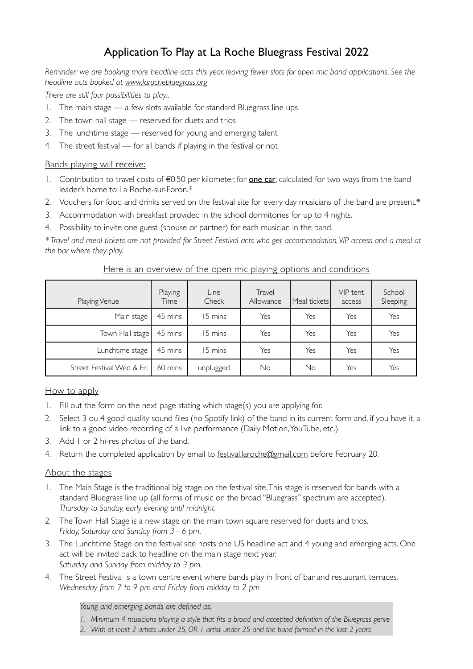## Application To Play at La Roche Bluegrass Festival 2022

*Reminder: we are booking more headline acts this year, leaving fewer slots for open mic band applications. See the headline acts booked at [www.larochebluegrass.org](http://www.larochebluegrass.org)*

*There are still four possibilities to play:.*

- 1. The main stage a few slots available for standard Bluegrass line ups
- 2. The town hall stage reserved for duets and trios
- 3. The lunchtime stage reserved for young and emerging talent
- 4. The street festival for all bands if playing in the festival or not

### Bands playing will receive:

- 1. Contribution to travel costs of €0.50 per kilometer, for one car, calculated for two ways from the band leader's home to La Roche-sur-Foron.\*
- 2. Vouchers for food and drinks served on the festival site for every day musicians of the band are present.\*
- 3. Accommodation with breakfast provided in the school dormitories for up to 4 nights.
- 4. Possibility to invite one guest (spouse or partner) for each musician in the band.

*\* Travel and meal tickets are not provided for Street Festival acts who get accommodation, VIP access and a meal at the bar where they play.*

#### Playing Venue Playing Time Line Check Travel Allowance Meal tickets VIP tent access School Sleeping Main stage 45 mins 15 mins 1 Yes Yes Yes Yes Yes Town Hall stage 45 mins 15 mins Yes Yes Yes Yes Yes Lunchtime stage | 45 mins | 15 mins | Yes | Yes | Yes | Yes Street Festival Wed & Fri | 60 mins | unplugged | No | No | Yes | Yes

### Here is an overview of the open mic playing options and conditions

### How to apply

- 1. Fill out the form on the next page stating which stage(s) you are applying for.
- 2. Select 3 ou 4 good quality sound files (no Spotify link) of the band in its current form and, if you have it, a link to a good video recording of a live performance (Daily Motion, YouTube, etc.).
- 3. Add 1 or 2 hi-res photos of the band.
- 4. Return the completed application by email to [festival.laroche@gmail.com](mailto:festival.laroche@gmail.com) before February 20.

#### About the stages

- 1. The Main Stage is the traditional big stage on the festival site. This stage is reserved for bands with a standard Bluegrass line up (all forms of music on the broad "Bluegrass" spectrum are accepted). *Thursday to Sunday, early evening until midnight*.
- 2. The Town Hall Stage is a new stage on the main town square reserved for duets and trios. *Friday, Saturday and Sunday from 3 - 6 pm*.
- 3. The Lunchtime Stage on the festival site hosts one US headline act and 4 young and emerging acts. One act will be invited back to headline on the main stage next year. *Saturday and Sunday from midday to 3 pm*.
- 4. The Street Festival is a town centre event where bands play in front of bar and restaurant terraces. *Wednesday from 7 to 9 pm and Friday from midday to 2 pm*

#### *Young and emerging bands are defined as:*

- *1. Minimum 4 musicians playing a style that fits a broad and accepted definition of the Bluegrass genre*
- *2. With at least 2 artists under 25, OR 1 artist under 25 and the band formed in the last 2 years*